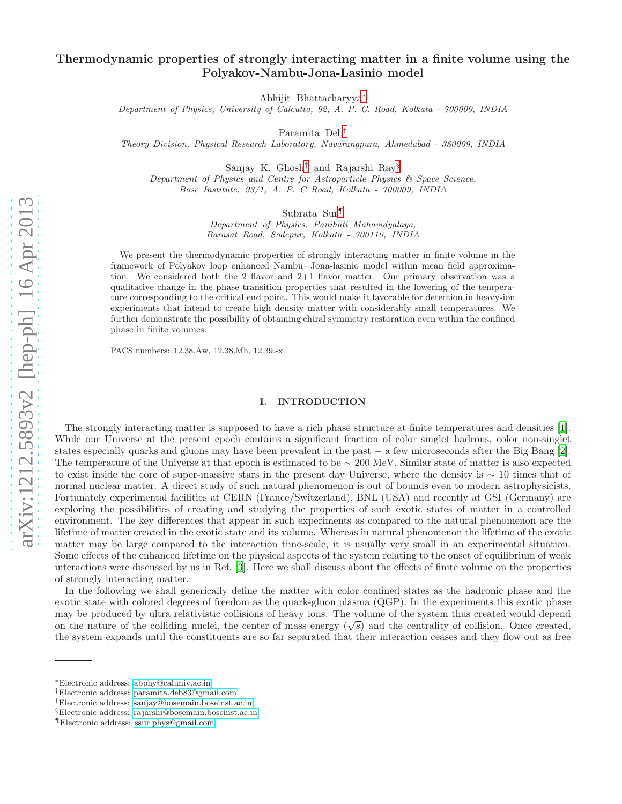# Thermodynamic properties of strongly interacting matter in a finite volume using the Polyakov-Nambu-Jona-Lasinio model

Abhijit Bhattacharyya[∗](#page-0-0)

Department of Physics, University of Calcutta, 92, A. P. C. Road, Kolkata - 700009, INDIA

Paramita Deb[†](#page-0-1)

Theory Division, Physical Research Laboratory, Navarangpura, Ahmedabad - 380009, INDIA

Sanjay K. Ghosh[‡](#page-0-2) and Rajarshi Ray[§](#page-0-3)

Department of Physics and Centre for Astroparticle Physics & Space Science, Bose Institute, 93/1, A. P. C Road, Kolkata - 700009, INDIA

Subrata Sur[¶](#page-0-4)

Department of Physics, Panihati Mahavidyalaya, Barasat Road, Sodepur, Kolkata - 700110, INDIA

We present the thermodynamic properties of strongly interacting matter in finite volume in the framework of Polyakov loop enhanced Nambu−Jona-lasinio model within mean field approximation. We considered both the 2 flavor and 2+1 flavor matter. Our primary observation was a qualitative change in the phase transition properties that resulted in the lowering of the temperature corresponding to the critical end point. This would make it favorable for detection in heavy-ion experiments that intend to create high density matter with considerably small temperatures. We further demonstrate the possibility of obtaining chiral symmetry restoration even within the confined phase in finite volumes.

PACS numbers: 12.38.Aw, 12.38.Mh, 12.39.-x

# I. INTRODUCTION

The strongly interacting matter is supposed to have a rich phase structure at finite temperatures and densities [\[1\]](#page-12-0). While our Universe at the present epoch contains a significant fraction of color singlet hadrons, color non-singlet states especially quarks and gluons may have been prevalent in the past − a few microseconds after the Big Bang [\[2\]](#page-12-1). The temperature of the Universe at that epoch is estimated to be ∼ 200 MeV. Similar state of matter is also expected to exist inside the core of super-massive stars in the present day Universe, where the density is  $\sim 10$  times that of normal nuclear matter. A direct study of such natural phenomenon is out of bounds even to modern astrophysicists. Fortunately experimental facilities at CERN (France/Switzerland), BNL (USA) and recently at GSI (Germany) are exploring the possibilities of creating and studying the properties of such exotic states of matter in a controlled environment. The key differences that appear in such experiments as compared to the natural phenomenon are the lifetime of matter created in the exotic state and its volume. Whereas in natural phenomenon the lifetime of the exotic matter may be large compared to the interaction time-scale, it is usually very small in an experimental situation. Some effects of the enhanced lifetime on the physical aspects of the system relating to the onset of equilibrium of weak interactions were discussed by us in Ref. [\[3](#page-12-2)]. Here we shall discuss about the effects of finite volume on the properties of strongly interacting matter.

In the following we shall generically define the matter with color confined states as the hadronic phase and the exotic state with colored degrees of freedom as the quark-gluon plasma (QGP). In the experiments this exotic phase may be produced by ultra relativistic collisions of heavy ions. The volume of the system thus created would depend on the nature of the colliding nuclei, the center of mass energy  $(\sqrt{s})$  and the centrality of collision. Once created, the system expands until the constituents are so far separated that their interaction ceases and they flow out as free

<span id="page-0-0"></span><sup>∗</sup>Electronic address: [abphy@caluniv.ac.in](mailto:abphy@caluniv.ac.in)

<span id="page-0-1"></span><sup>†</sup>Electronic address: [paramita.deb83@gmail.com](mailto:paramita.deb83@gmail.com)

<span id="page-0-2"></span><sup>‡</sup>Electronic address: [sanjay@bosemain.boseinst.ac.in](mailto:sanjay@bosemain.boseinst.ac.in)

<span id="page-0-3"></span><sup>§</sup>Electronic address: [rajarshi@bosemain.boseinst.ac.in](mailto:rajarshi@bosemain.boseinst.ac.in)

<span id="page-0-4"></span><sup>¶</sup>Electronic address: [ssur.phys@gmail.com](mailto:ssur.phys@gmail.com)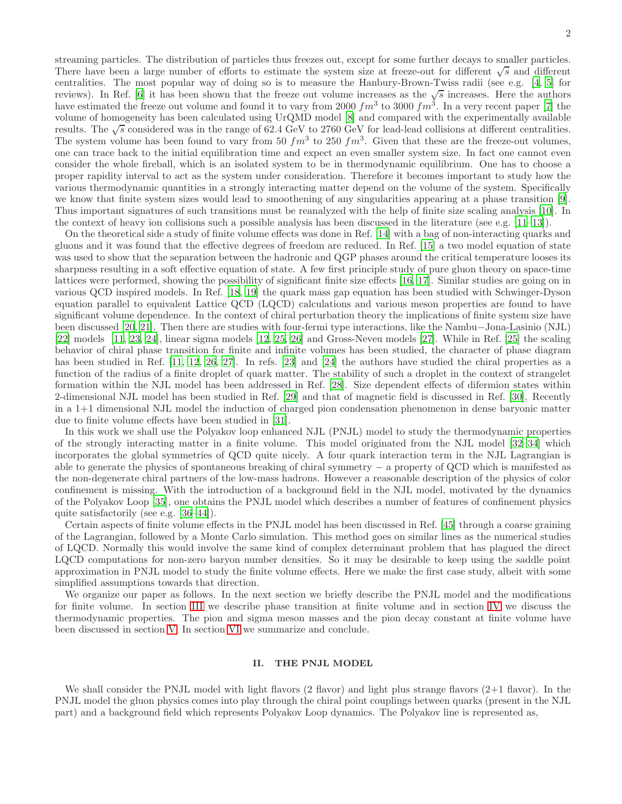streaming particles. The distribution of particles thus freezes out, except for some further decays to smaller particles. There have been a large number of efforts to estimate the system size at freeze-out for different  $\sqrt{s}$  and different centralities. The most popular way of doing so is to measure the Hanbury-Brown-Twiss radii (see e.g. [\[4,](#page-12-3) [5](#page-12-4)] for reviews). In Ref. [\[6\]](#page-12-5) it has been shown that the freeze out volume increases as the  $\sqrt{s}$  increases. Here the authors have estimated the freeze out volume and found it to vary from 2000  $fm^3$  to 3000  $fm^3$ . In a very recent paper [\[7\]](#page-12-6) the volume of homogeneity has been calculated using UrQMD model [\[8](#page-12-7)] and compared with the experimentally available results. The  $\sqrt{s}$  considered was in the range of 62.4 GeV to 2760 GeV for lead-lead collisions at different centralities. The system volume has been found to vary from 50  $fm^3$  to 250  $fm^3$ . Given that these are the freeze-out volumes, one can trace back to the initial equilibration time and expect an even smaller system size. In fact one cannot even consider the whole fireball, which is an isolated system to be in thermodynamic equilibrium. One has to choose a proper rapidity interval to act as the system under consideration. Therefore it becomes important to study how the various thermodynamic quantities in a strongly interacting matter depend on the volume of the system. Specifically we know that finite system sizes would lead to smoothening of any singularities appearing at a phase transition [\[9\]](#page-12-8). Thus important signatures of such transitions must be reanalyzed with the help of finite size scaling analysis [\[10\]](#page-12-9). In the context of heavy ion collisions such a possible analysis has been discussed in the literature (see e.g. [\[11](#page-12-10)[–13\]](#page-12-11)).

On the theoretical side a study of finite volume effects was done in Ref. [\[14](#page-12-12)] with a bag of non-interacting quarks and gluons and it was found that the effective degrees of freedom are reduced. In Ref. [\[15](#page-12-13)] a two model equation of state was used to show that the separation between the hadronic and QGP phases around the critical temperature looses its sharpness resulting in a soft effective equation of state. A few first principle study of pure gluon theory on space-time lattices were performed, showing the possibility of significant finite size effects [\[16,](#page-12-14) [17\]](#page-12-15). Similar studies are going on in various QCD inspired models. In Ref. [\[18](#page-12-16), [19](#page-12-17)] the quark mass gap equation has been studied with Schwinger-Dyson equation parallel to equivalent Lattice QCD (LQCD) calculations and various meson properties are found to have significant volume dependence. In the context of chiral perturbation theory the implications of finite system size have been discussed [\[20,](#page-12-18) [21](#page-12-19)]. Then there are studies with four-fermi type interactions, like the Nambu−Jona-Lasinio (NJL) [\[22\]](#page-12-20) models [\[11](#page-12-10), [23,](#page-12-21) [24\]](#page-12-22), linear sigma models [\[12,](#page-12-23) [25,](#page-12-24) [26\]](#page-12-25) and Gross-Neveu models [\[27\]](#page-12-26). While in Ref. [\[25\]](#page-12-24) the scaling behavior of chiral phase transition for finite and infinite volumes has been studied, the character of phase diagram has been studied in Ref. [\[11](#page-12-10), [12,](#page-12-23) [26,](#page-12-25) [27\]](#page-12-26). In refs. [\[23\]](#page-12-21) and [\[24\]](#page-12-22) the authors have studied the chiral properties as a function of the radius of a finite droplet of quark matter. The stability of such a droplet in the context of strangelet formation within the NJL model has been addressed in Ref. [\[28\]](#page-12-27). Size dependent effects of difermion states within 2-dimensional NJL model has been studied in Ref. [\[29](#page-12-28)] and that of magnetic field is discussed in Ref. [\[30\]](#page-12-29). Recently in a 1+1 dimensional NJL model the induction of charged pion condensation phenomenon in dense baryonic matter due to finite volume effects have been studied in [\[31\]](#page-13-0).

In this work we shall use the Polyakov loop enhanced NJL (PNJL) model to study the thermodynamic properties of the strongly interacting matter in a finite volume. This model originated from the NJL model [\[32](#page-13-1)[–34\]](#page-13-2) which incorporates the global symmetries of QCD quite nicely. A four quark interaction term in the NJL Lagrangian is able to generate the physics of spontaneous breaking of chiral symmetry − a property of QCD which is manifested as the non-degenerate chiral partners of the low-mass hadrons. However a reasonable description of the physics of color confinement is missing. With the introduction of a background field in the NJL model, motivated by the dynamics of the Polyakov Loop [\[35\]](#page-13-3), one obtains the PNJL model which describes a number of features of confinement physics quite satisfactorily (see e.g. [\[36](#page-13-4)[–44\]](#page-13-5)).

Certain aspects of finite volume effects in the PNJL model has been discussed in Ref. [\[45\]](#page-13-6) through a coarse graining of the Lagrangian, followed by a Monte Carlo simulation. This method goes on similar lines as the numerical studies of LQCD. Normally this would involve the same kind of complex determinant problem that has plagued the direct LQCD computations for non-zero baryon number densities. So it may be desirable to keep using the saddle point approximation in PNJL model to study the finite volume effects. Here we make the first case study, albeit with some simplified assumptions towards that direction.

We organize our paper as follows. In the next section we briefly describe the PNJL model and the modifications for finite volume. In section [III](#page-3-0) we describe phase transition at finite volume and in section [IV](#page-6-0) we discuss the thermodynamic properties. The pion and sigma meson masses and the pion decay constant at finite volume have been discussed in section [V.](#page-9-0) In section [VI](#page-11-0) we summarize and conclude.

## II. THE PNJL MODEL

We shall consider the PNJL model with light flavors  $(2 \text{ flavor})$  and light plus strange flavors  $(2+1 \text{ flavor})$ . In the PNJL model the gluon physics comes into play through the chiral point couplings between quarks (present in the NJL part) and a background field which represents Polyakov Loop dynamics. The Polyakov line is represented as,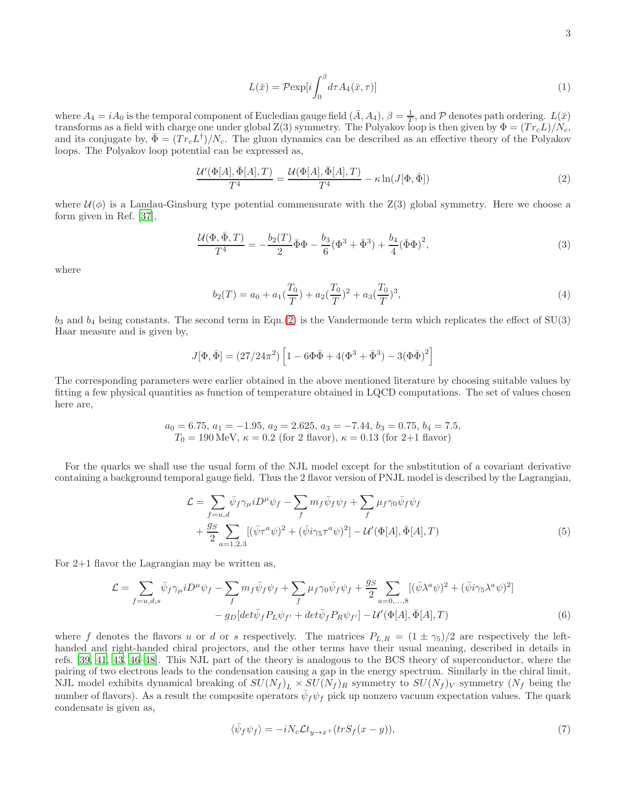$$
L(\bar{x}) = \mathcal{P}\exp[i\int_0^\beta d\tau A_4(\bar{x}, \tau)] \tag{1}
$$

where  $A_4 = iA_0$  is the temporal component of Eucledian gauge field  $(\bar{A}, A_4), \beta = \frac{1}{T}$ , and P denotes path ordering.  $L(\bar{x})$ transforms as a field with charge one under global  $Z(3)$  symmetry. The Polyakov loop is then given by  $\Phi = (Tr_c L)/N_c$ , and its conjugate by,  $\bar{\Phi} = (Tr_c L^{\dagger})/N_c$ . The gluon dynamics can be described as an effective theory of the Polyakov loops. The Polyakov loop potential can be expressed as,

<span id="page-2-0"></span>
$$
\frac{\mathcal{U}'(\Phi[A], \bar{\Phi}[A], T)}{T^4} = \frac{\mathcal{U}(\Phi[A], \bar{\Phi}[A], T)}{T^4} - \kappa \ln(J[\Phi, \bar{\Phi}])
$$
\n(2)

where  $\mathcal{U}(\phi)$  is a Landau-Ginsburg type potential commensurate with the Z(3) global symmetry. Here we choose a form given in Ref. [\[37\]](#page-13-7),

$$
\frac{\mathcal{U}(\Phi,\bar{\Phi},T)}{T^4} = -\frac{b_2(T)}{2}\bar{\Phi}\Phi - \frac{b_3}{6}(\Phi^3 + \bar{\Phi}^3) + \frac{b_4}{4}(\bar{\Phi}\Phi)^2,
$$
\n(3)

where

$$
b_2(T) = a_0 + a_1(\frac{T_0}{T}) + a_2(\frac{T_0}{T})^2 + a_3(\frac{T_0}{T})^3,
$$
\n<sup>(4)</sup>

 $b_3$  and  $b_4$  being constants. The second term in Eqn.[\(2\)](#page-2-0) is the Vandermonde term which replicates the effect of SU(3) Haar measure and is given by,

$$
J[\Phi, \bar{\Phi}] = (27/24\pi^2) \left[ 1 - 6\Phi\bar{\Phi} + 4(\Phi^3 + \bar{\Phi}^3) - 3(\Phi\bar{\Phi})^2 \right]
$$

The corresponding parameters were earlier obtained in the above mentioned literature by choosing suitable values by fitting a few physical quantities as function of temperature obtained in LQCD computations. The set of values chosen here are,

$$
a_0 = 6.75
$$
,  $a_1 = -1.95$ ,  $a_2 = 2.625$ ,  $a_3 = -7.44$ ,  $b_3 = 0.75$ ,  $b_4 = 7.5$ ,  $T_0 = 190$  MeV,  $\kappa = 0.2$  (for 2 flavor),  $\kappa = 0.13$  (for 2+1 flavor)

For the quarks we shall use the usual form of the NJL model except for the substitution of a covariant derivative containing a background temporal gauge field. Thus the 2 flavor version of PNJL model is described by the Lagrangian,

$$
\mathcal{L} = \sum_{f=u,d} \bar{\psi}_f \gamma_\mu i D^\mu \psi_f - \sum_f m_f \bar{\psi}_f \psi_f + \sum_f \mu_f \gamma_0 \bar{\psi}_f \psi_f + \frac{g_S}{2} \sum_{a=1,2,3} [(\bar{\psi} \tau^a \psi)^2 + (\bar{\psi} i \gamma_5 \tau^a \psi)^2] - \mathcal{U}'(\Phi[A], \bar{\Phi}[A], T)
$$
(5)

For 2+1 flavor the Lagrangian may be written as,

$$
\mathcal{L} = \sum_{f=u,d,s} \bar{\psi}_f \gamma_\mu i D^\mu \psi_f - \sum_f m_f \bar{\psi}_f \psi_f + \sum_f \mu_f \gamma_0 \bar{\psi}_f \psi_f + \frac{g_S}{2} \sum_{a=0,...,8} [(\bar{\psi} \lambda^a \psi)^2 + (\bar{\psi} i \gamma_5 \lambda^a \psi)^2] - g_D [det \bar{\psi}_f P_L \psi_{f'} + det \bar{\psi}_f P_R \psi_{f'}] - \mathcal{U}'(\Phi[A], \bar{\Phi}[A], T) \tag{6}
$$

where f denotes the flavors u or d or s respectively. The matrices  $P_{L,R} = (1 \pm \gamma_5)/2$  are respectively the lefthanded and right-handed chiral projectors, and the other terms have their usual meaning, described in details in refs. [\[39,](#page-13-8) [41,](#page-13-9) [43](#page-13-10), [46](#page-13-11)[–48\]](#page-13-12). This NJL part of the theory is analogous to the BCS theory of superconductor, where the pairing of two electrons leads to the condensation causing a gap in the energy spectrum. Similarly in the chiral limit, NJL model exhibits dynamical breaking of  $SU(N_f)_L \times SU(N_f)_R$  symmetry to  $SU(N_f)_V$  symmetry  $(N_f$  being the number of flavors). As a result the composite operators  $\bar{\psi}_f \psi_f$  pick up nonzero vacuum expectation values. The quark condensate is given as,

$$
\langle \bar{\psi}_f \psi_f \rangle = -iN_c \mathcal{L} t_{y \to x^+} (tr S_f(x - y)), \tag{7}
$$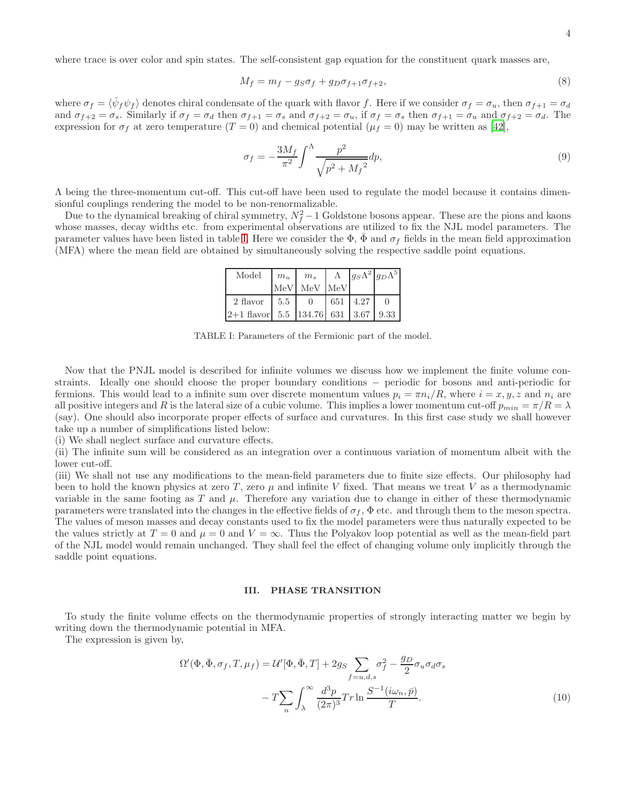$$
M_f = m_f - g_S \sigma_f + g_D \sigma_{f+1} \sigma_{f+2},\tag{8}
$$

where  $\sigma_f = \langle \bar{\psi}_f \psi_f \rangle$  denotes chiral condensate of the quark with flavor f. Here if we consider  $\sigma_f = \sigma_u$ , then  $\sigma_{f+1} = \sigma_d$ and  $\sigma_{f+2} = \sigma_s$ . Similarly if  $\sigma_f = \sigma_d$  then  $\sigma_{f+1} = \sigma_s$  and  $\sigma_{f+2} = \sigma_u$ , if  $\sigma_f = \sigma_s$  then  $\sigma_{f+1} = \sigma_u$  and  $\sigma_{f+2} = \sigma_d$ . The expression for  $\sigma_f$  at zero temperature  $(T = 0)$  and chemical potential  $(\mu_f = 0)$  may be written as [\[42\]](#page-13-13),

$$
\sigma_f = -\frac{3M_f}{\pi^2} \int^{\Lambda} \frac{p^2}{\sqrt{p^2 + M_f^2}} dp,\tag{9}
$$

Λ being the three-momentum cut-off. This cut-off have been used to regulate the model because it contains dimensionful couplings rendering the model to be non-renormalizable.

Due to the dynamical breaking of chiral symmetry,  $N_f^2 - 1$  Goldstone bosons appear. These are the pions and kaons whose masses, decay widths etc. from experimental observations are utilized to fix the NJL model parameters. The parameter values have been listed in table [I.](#page-3-1) Here we consider the  $\Phi$ ,  $\bar{\Phi}$  and  $\sigma_f$  fields in the mean field approximation (MFA) where the mean field are obtained by simultaneously solving the respective saddle point equations.

| Model                                                                       | $m_u$ | $m_s$       |                 | $\Lambda$ $ g_S\Lambda^2 g_D\Lambda^5 $ |
|-----------------------------------------------------------------------------|-------|-------------|-----------------|-----------------------------------------|
|                                                                             |       | MeV MeV MeV |                 |                                         |
| 2 flavor                                                                    | 5.5   | (           | $651 \mid 4.27$ |                                         |
| $\vert 2+1$ flavor 5.5 $\vert 134.76 \vert 631 \vert 3.67 \vert 9.33 \vert$ |       |             |                 |                                         |

<span id="page-3-1"></span>TABLE I: Parameters of the Fermionic part of the model.

Now that the PNJL model is described for infinite volumes we discuss how we implement the finite volume constraints. Ideally one should choose the proper boundary conditions − periodic for bosons and anti-periodic for fermions. This would lead to a infinite sum over discrete momentum values  $p_i = \pi n_i/R$ , where  $i = x, y, z$  and  $n_i$  are all positive integers and R is the lateral size of a cubic volume. This implies a lower momentum cut-off  $p_{min} = \pi/R = \lambda$ (say). One should also incorporate proper effects of surface and curvatures. In this first case study we shall however take up a number of simplifications listed below:

(i) We shall neglect surface and curvature effects.

(ii) The infinite sum will be considered as an integration over a continuous variation of momentum albeit with the lower cut-off.

(iii) We shall not use any modifications to the mean-field parameters due to finite size effects. Our philosophy had been to hold the known physics at zero T, zero  $\mu$  and infinite V fixed. That means we treat V as a thermodynamic variable in the same footing as T and  $\mu$ . Therefore any variation due to change in either of these thermodynamic parameters were translated into the changes in the effective fields of  $\sigma_f$ ,  $\Phi$  etc. and through them to the meson spectra. The values of meson masses and decay constants used to fix the model parameters were thus naturally expected to be the values strictly at  $T = 0$  and  $\mu = 0$  and  $V = \infty$ . Thus the Polyakov loop potential as well as the mean-field part of the NJL model would remain unchanged. They shall feel the effect of changing volume only implicitly through the saddle point equations.

### <span id="page-3-0"></span>III. PHASE TRANSITION

To study the finite volume effects on the thermodynamic properties of strongly interacting matter we begin by writing down the thermodynamic potential in MFA.

The expression is given by,

$$
\Omega'(\Phi, \bar{\Phi}, \sigma_f, T, \mu_f) = \mathcal{U}'[\Phi, \bar{\Phi}, T] + 2g_S \sum_{f=u,d,s} \sigma_f^2 - \frac{g_D}{2} \sigma_u \sigma_d \sigma_s
$$

$$
-T \sum_n \int_{\lambda}^{\infty} \frac{d^3 p}{(2\pi)^3} Tr \ln \frac{S^{-1}(i\omega_n, \bar{p})}{T}.
$$
(10)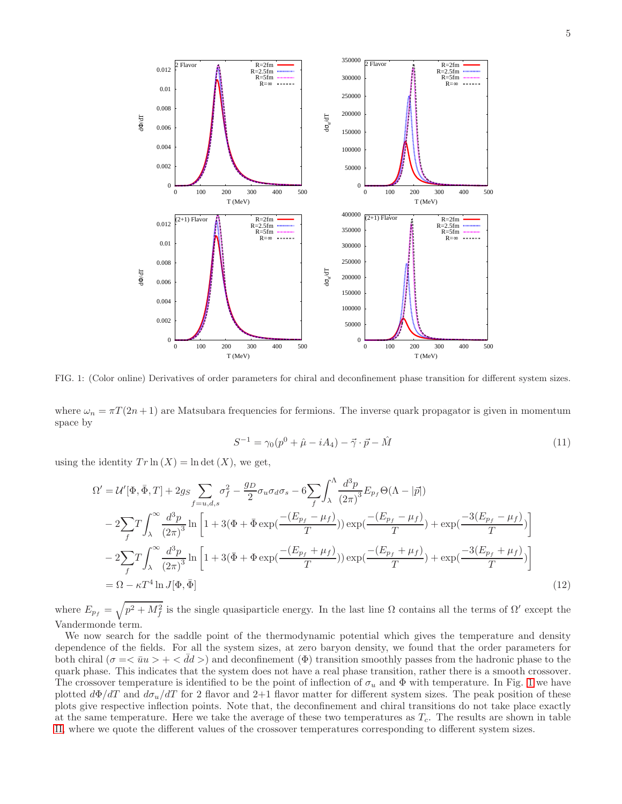

<span id="page-4-0"></span>FIG. 1: (Color online) Derivatives of order parameters for chiral and deconfinement phase transition for different system sizes.

where  $\omega_n = \pi T(2n + 1)$  are Matsubara frequencies for fermions. The inverse quark propagator is given in momentum space by

$$
S^{-1} = \gamma_0 (p^0 + \hat{\mu} - iA_4) - \vec{\gamma} \cdot \vec{p} - \hat{M}
$$
 (11)

using the identity  $Tr \ln(X) = \ln \det(X)$ , we get,

$$
\Omega' = \mathcal{U}'[\Phi, \bar{\Phi}, T] + 2g_S \sum_{f=u,d,s} \sigma_f^2 - \frac{g_D}{2} \sigma_u \sigma_d \sigma_s - 6 \sum_f \int_{\lambda}^{\Lambda} \frac{d^3 p}{(2\pi)^3} E_{p_f} \Theta(\Lambda - |\vec{p}|)
$$
  
\n
$$
- 2 \sum_f T \int_{\lambda}^{\infty} \frac{d^3 p}{(2\pi)^3} \ln \left[ 1 + 3(\Phi + \bar{\Phi} \exp(\frac{-(E_{p_f} - \mu_f)}{T})) \exp(\frac{-(E_{p_f} - \mu_f)}{T}) + \exp(\frac{-3(E_{p_f} - \mu_f)}{T}) \right]
$$
  
\n
$$
- 2 \sum_f T \int_{\lambda}^{\infty} \frac{d^3 p}{(2\pi)^3} \ln \left[ 1 + 3(\bar{\Phi} + \Phi \exp(\frac{-(E_{p_f} + \mu_f)}{T})) \exp(\frac{-(E_{p_f} + \mu_f)}{T}) + \exp(\frac{-3(E_{p_f} + \mu_f)}{T}) \right]
$$
  
\n
$$
= \Omega - \kappa T^4 \ln J[\Phi, \bar{\Phi}]
$$
 (12)

where  $E_{p_f} = \sqrt{p^2 + M_f^2}$  is the single quasiparticle energy. In the last line  $\Omega$  contains all the terms of  $\Omega'$  except the Vandermonde term.

We now search for the saddle point of the thermodynamic potential which gives the temperature and density dependence of the fields. For all the system sizes, at zero baryon density, we found that the order parameters for both chiral ( $\sigma = \langle \bar{u}u \rangle + \langle \bar{d}d \rangle$ ) and deconfinement ( $\Phi$ ) transition smoothly passes from the hadronic phase to the quark phase. This indicates that the system does not have a real phase transition, rather there is a smooth crossover. The crossover temperature is identified to be the point of inflection of  $\sigma_u$  and  $\Phi$  with temperature. In Fig. [1](#page-4-0) we have plotted  $d\Phi/dT$  and  $d\sigma_u/dT$  for 2 flavor and 2+1 flavor matter for different system sizes. The peak position of these plots give respective inflection points. Note that, the deconfinement and chiral transitions do not take place exactly at the same temperature. Here we take the average of these two temperatures as  $T_c$ . The results are shown in table [II,](#page-5-0) where we quote the different values of the crossover temperatures corresponding to different system sizes.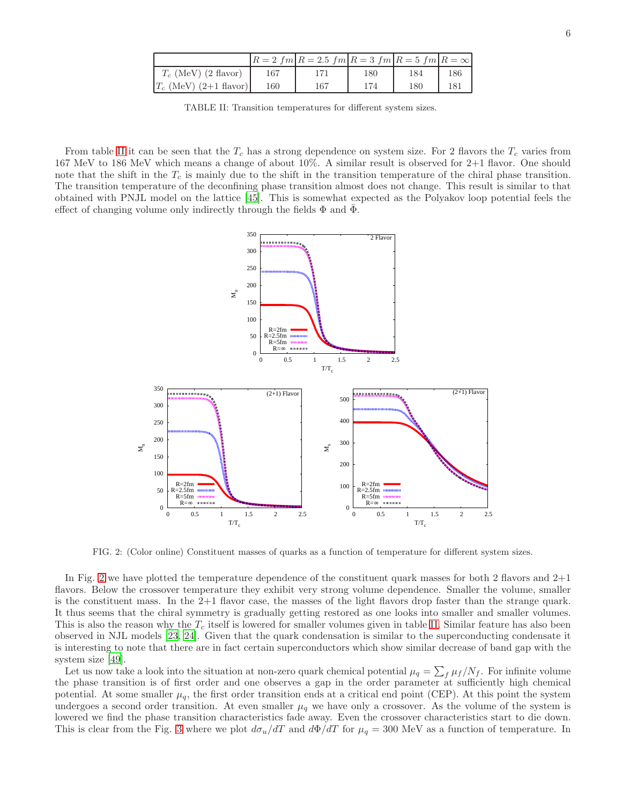|                          |     | $R = 2$ fm $R = 2.5$ fm $R = 3$ fm $R = 5$ fm $R = \infty$ |     |     |     |
|--------------------------|-----|------------------------------------------------------------|-----|-----|-----|
| $T_c$ (MeV) (2 flavor)   | 167 |                                                            | 180 | 184 | 186 |
| $T_c$ (MeV) (2+1 flavor) | 160 | 167                                                        | 174 | 180 | 181 |

<span id="page-5-0"></span>TABLE II: Transition temperatures for different system sizes.

From table [II](#page-5-0) it can be seen that the  $T_c$  has a strong dependence on system size. For 2 flavors the  $T_c$  varies from 167 MeV to 186 MeV which means a change of about 10%. A similar result is observed for 2+1 flavor. One should note that the shift in the  $T_c$  is mainly due to the shift in the transition temperature of the chiral phase transition. The transition temperature of the deconfining phase transition almost does not change. This result is similar to that obtained with PNJL model on the lattice [\[45\]](#page-13-6). This is somewhat expected as the Polyakov loop potential feels the effect of changing volume only indirectly through the fields  $\Phi$  and  $\Phi$ .



<span id="page-5-1"></span>FIG. 2: (Color online) Constituent masses of quarks as a function of temperature for different system sizes.

In Fig. [2](#page-5-1) we have plotted the temperature dependence of the constituent quark masses for both 2 flavors and 2+1 flavors. Below the crossover temperature they exhibit very strong volume dependence. Smaller the volume, smaller is the constituent mass. In the 2+1 flavor case, the masses of the light flavors drop faster than the strange quark. It thus seems that the chiral symmetry is gradually getting restored as one looks into smaller and smaller volumes. This is also the reason why the  $T_c$  itself is lowered for smaller volumes given in table [II.](#page-5-0) Similar feature has also been observed in NJL models [\[23](#page-12-21), [24\]](#page-12-22). Given that the quark condensation is similar to the superconducting condensate it is interesting to note that there are in fact certain superconductors which show similar decrease of band gap with the system size [\[49\]](#page-13-14).

Let us now take a look into the situation at non-zero quark chemical potential  $\mu_q = \sum_f \mu_f / N_f$ . For infinite volume the phase transition is of first order and one observes a gap in the order parameter at sufficiently high chemical potential. At some smaller  $\mu_q$ , the first order transition ends at a critical end point (CEP). At this point the system undergoes a second order transition. At even smaller  $\mu_q$  we have only a crossover. As the volume of the system is lowered we find the phase transition characteristics fade away. Even the crossover characteristics start to die down. This is clear from the Fig. [3](#page-6-1) where we plot  $d\sigma_u/dT$  and  $d\Phi/dT$  for  $\mu_q = 300$  MeV as a function of temperature. In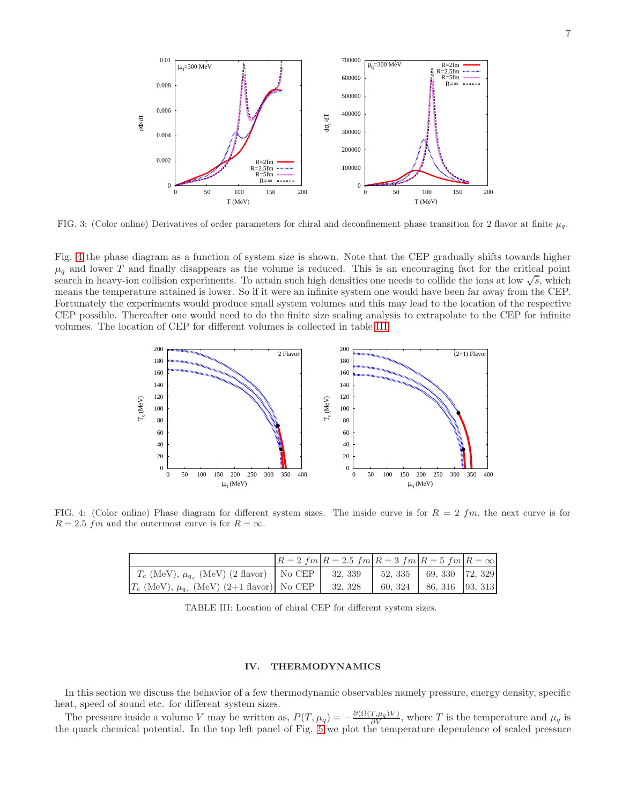

<span id="page-6-1"></span>FIG. 3: (Color online) Derivatives of order parameters for chiral and deconfinement phase transition for 2 flavor at finite  $\mu_q$ .

Fig. [4](#page-6-2) the phase diagram as a function of system size is shown. Note that the CEP gradually shifts towards higher  $\mu_q$  and lower T and finally disappears as the volume is reduced. This is an encouraging fact for the critical point search in heavy-ion collision experiments. To attain such high densities one needs to collide the ions at low  $\sqrt{s}$ , which means the temperature attained is lower. So if it were an infinite system one would have been far away from the CEP. Fortunately the experiments would produce small system volumes and this may lead to the location of the respective CEP possible. Thereafter one would need to do the finite size scaling analysis to extrapolate to the CEP for infinite volumes. The location of CEP for different volumes is collected in table [III.](#page-6-3)



<span id="page-6-2"></span>FIG. 4: (Color online) Phase diagram for different system sizes. The inside curve is for  $R = 2 fm$ , the next curve is for  $R = 2.5$  fm and the outermost curve is for  $R = \infty$ .

|                                                                                            | $R = 2 fm R = 2.5 fm R = 3 fm R = 5 fm R = \infty$ |                         |  |
|--------------------------------------------------------------------------------------------|----------------------------------------------------|-------------------------|--|
| $T_c$ (MeV), $\mu_{q_c}$ (MeV) (2 flavor)   No CEP   32, 339   52, 335   69, 330   72, 329 |                                                    |                         |  |
| $T_c$ (MeV), $\mu_{q_c}$ (MeV) (2+1 flavor) No CEP                                         | 32, 328                                            | 60, 324 86, 316 93, 313 |  |

TABLE III: Location of chiral CEP for different system sizes.

# <span id="page-6-3"></span><span id="page-6-0"></span>IV. THERMODYNAMICS

In this section we discuss the behavior of a few thermodynamic observables namely pressure, energy density, specific heat, speed of sound etc. for different system sizes.

The pressure inside a volume V may be written as,  $P(T, \mu_q) = -\frac{\partial(\Omega(T, \mu_q)V)}{\partial V}$ , where T is the temperature and  $\mu_q$  is the quark chemical potential. In the top left panel of Fig. [5](#page-7-0) we plot the temperature dependence of scaled pressure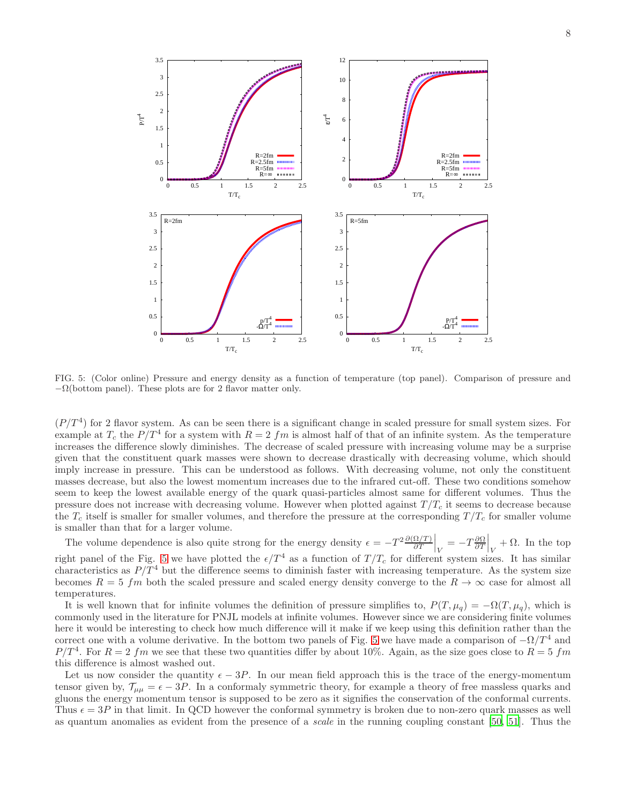

<span id="page-7-0"></span>FIG. 5: (Color online) Pressure and energy density as a function of temperature (top panel). Comparison of pressure and  $-\Omega$ (bottom panel). These plots are for 2 flavor matter only.

 $(P/T<sup>4</sup>)$  for 2 flavor system. As can be seen there is a significant change in scaled pressure for small system sizes. For example at  $T_c$  the  $P/T^4$  for a system with  $R=2$  fm is almost half of that of an infinite system. As the temperature increases the difference slowly diminishes. The decrease of scaled pressure with increasing volume may be a surprise given that the constituent quark masses were shown to decrease drastically with decreasing volume, which should imply increase in pressure. This can be understood as follows. With decreasing volume, not only the constituent masses decrease, but also the lowest momentum increases due to the infrared cut-off. These two conditions somehow seem to keep the lowest available energy of the quark quasi-particles almost same for different volumes. Thus the pressure does not increase with decreasing volume. However when plotted against  $T/T_c$  it seems to decrease because the  $T_c$  itself is smaller for smaller volumes, and therefore the pressure at the corresponding  $T/T_c$  for smaller volume is smaller than that for a larger volume.

The volume dependence is also quite strong for the energy density  $\epsilon = -T^2 \frac{\partial (\Omega/T)}{\partial T}\Big|_V = -T \frac{\partial \Omega}{\partial T}\Big|_V + \Omega$ . In the top right panel of the Fig. [5](#page-7-0) we have plotted the  $\epsilon/T^4$  as a function of  $T/T_c$  for different system sizes. It has similar characteristics as  $P/T^4$  but the difference seems to diminish faster with increasing temperature. As the system size becomes  $R = 5$  fm both the scaled pressure and scaled energy density converge to the  $R \to \infty$  case for almost all temperatures.

It is well known that for infinite volumes the definition of pressure simplifies to,  $P(T, \mu_q) = -\Omega(T, \mu_q)$ , which is commonly used in the literature for PNJL models at infinite volumes. However since we are considering finite volumes here it would be interesting to check how much difference will it make if we keep using this definition rather than the correct one with a volume derivative. In the bottom two panels of Fig. [5](#page-7-0) we have made a comparison of  $-\Omega/T^4$  and  $P/T<sup>4</sup>$ . For  $R = 2$  fm we see that these two quantities differ by about 10%. Again, as the size goes close to  $R = 5$  fm this difference is almost washed out.

Let us now consider the quantity  $\epsilon - 3P$ . In our mean field approach this is the trace of the energy-momentum tensor given by,  $\mathcal{T}_{\mu\mu} = \epsilon - 3P$ . In a conformaly symmetric theory, for example a theory of free massless quarks and gluons the energy momentum tensor is supposed to be zero as it signifies the conservation of the conformal currents. Thus  $\epsilon = 3P$  in that limit. In QCD however the conformal symmetry is broken due to non-zero quark masses as well as quantum anomalies as evident from the presence of a scale in the running coupling constant [\[50,](#page-13-15) [51\]](#page-13-16). Thus the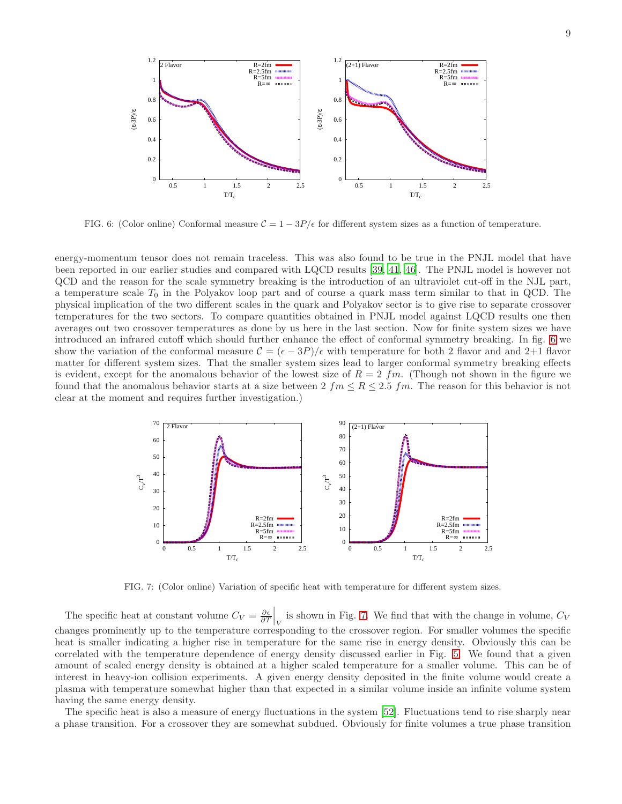

<span id="page-8-0"></span>FIG. 6: (Color online) Conformal measure  $C = 1 - \frac{3P}{\epsilon}$  for different system sizes as a function of temperature.

energy-momentum tensor does not remain traceless. This was also found to be true in the PNJL model that have been reported in our earlier studies and compared with LQCD results [\[39,](#page-13-8) [41,](#page-13-9) [46](#page-13-11)]. The PNJL model is however not QCD and the reason for the scale symmetry breaking is the introduction of an ultraviolet cut-off in the NJL part, a temperature scale  $T_0$  in the Polyakov loop part and of course a quark mass term similar to that in QCD. The physical implication of the two different scales in the quark and Polyakov sector is to give rise to separate crossover temperatures for the two sectors. To compare quantities obtained in PNJL model against LQCD results one then averages out two crossover temperatures as done by us here in the last section. Now for finite system sizes we have introduced an infrared cutoff which should further enhance the effect of conformal symmetry breaking. In fig. [6](#page-8-0) we show the variation of the conformal measure  $C = (\epsilon - 3P)/\epsilon$  with temperature for both 2 flavor and and 2+1 flavor matter for different system sizes. That the smaller system sizes lead to larger conformal symmetry breaking effects is evident, except for the anomalous behavior of the lowest size of  $R = 2$  fm. (Though not shown in the figure we found that the anomalous behavior starts at a size between  $2 f m \le R \le 2.5 fm$ . The reason for this behavior is not clear at the moment and requires further investigation.)



<span id="page-8-1"></span>FIG. 7: (Color online) Variation of specific heat with temperature for different system sizes.

The specific heat at constant volume  $C_V = \frac{\partial \epsilon}{\partial T}\Big|_V$  is shown in Fig. [7.](#page-8-1) We find that with the change in volume,  $C_V$ changes prominently up to the temperature corresponding to the crossover region. For smaller volumes the specific heat is smaller indicating a higher rise in temperature for the same rise in energy density. Obviously this can be correlated with the temperature dependence of energy density discussed earlier in Fig. [5.](#page-7-0) We found that a given amount of scaled energy density is obtained at a higher scaled temperature for a smaller volume. This can be of interest in heavy-ion collision experiments. A given energy density deposited in the finite volume would create a plasma with temperature somewhat higher than that expected in a similar volume inside an infinite volume system having the same energy density.

The specific heat is also a measure of energy fluctuations in the system [\[52\]](#page-13-17). Fluctuations tend to rise sharply near a phase transition. For a crossover they are somewhat subdued. Obviously for finite volumes a true phase transition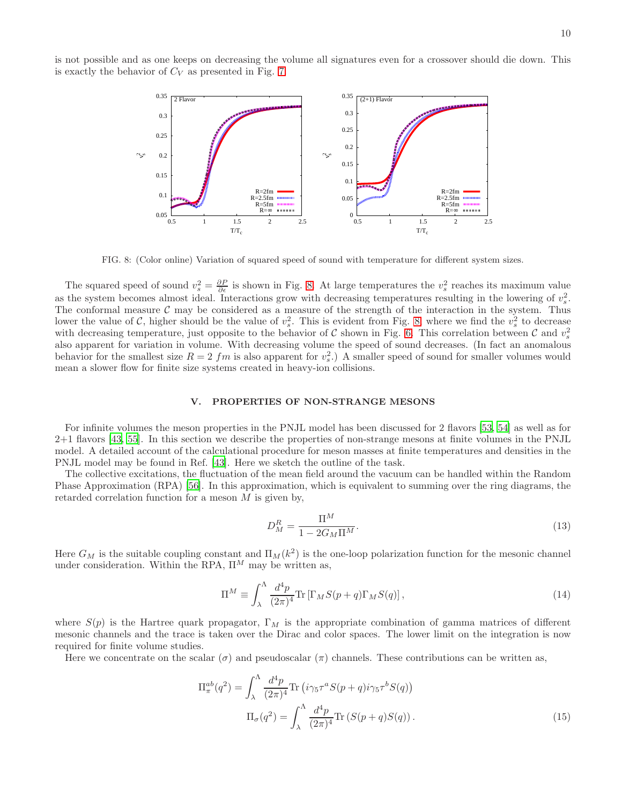is not possible and as one keeps on decreasing the volume all signatures even for a crossover should die down. This is exactly the behavior of  $C_V$  as presented in Fig. [7.](#page-8-1)



<span id="page-9-1"></span>FIG. 8: (Color online) Variation of squared speed of sound with temperature for different system sizes.

The squared speed of sound  $v_s^2 = \frac{\partial P}{\partial \epsilon}$  is shown in Fig. [8.](#page-9-1) At large temperatures the  $v_s^2$  reaches its maximum value as the system becomes almost ideal. Interactions grow with decreasing temperatures resulting in the lowering of  $v_s^2$ . The conformal measure  $\mathcal C$  may be considered as a measure of the strength of the interaction in the system. Thus lower the value of C, higher should be the value of  $v_s^2$ . This is evident from Fig. [8,](#page-9-1) where we find the  $v_s^2$  to decrease with decreasing temperature, just opposite to the behavior of C shown in Fig. [6.](#page-8-0) This correlation between C and  $v_s^2$ also apparent for variation in volume. With decreasing volume the speed of sound decreases. (In fact an anomalous behavior for the smallest size  $R = 2 fm$  is also apparent for  $v_s^2$ .) A smaller speed of sound for smaller volumes would mean a slower flow for finite size systems created in heavy-ion collisions.

### <span id="page-9-0"></span>V. PROPERTIES OF NON-STRANGE MESONS

For infinite volumes the meson properties in the PNJL model has been discussed for 2 flavors [\[53,](#page-13-18) [54](#page-13-19)] as well as for 2+1 flavors [\[43,](#page-13-10) [55\]](#page-13-20). In this section we describe the properties of non-strange mesons at finite volumes in the PNJL model. A detailed account of the calculational procedure for meson masses at finite temperatures and densities in the PNJL model may be found in Ref. [\[43\]](#page-13-10). Here we sketch the outline of the task.

The collective excitations, the fluctuation of the mean field around the vacuum can be handled within the Random Phase Approximation (RPA) [\[56\]](#page-13-21). In this approximation, which is equivalent to summing over the ring diagrams, the retarded correlation function for a meson  $M$  is given by,

$$
D_M^R = \frac{\Pi^M}{1 - 2G_M \Pi^M}.
$$
\n<sup>(13)</sup>

Here  $G_M$  is the suitable coupling constant and  $\Pi_M(k^2)$  is the one-loop polarization function for the mesonic channel under consideration. Within the RPA,  $\Pi^M$  may be written as,

$$
\Pi^{M} \equiv \int_{\lambda}^{\Lambda} \frac{d^{4}p}{(2\pi)^{4}} \text{Tr} \left[ \Gamma_{M} S(p+q) \Gamma_{M} S(q) \right], \tag{14}
$$

where  $S(p)$  is the Hartree quark propagator,  $\Gamma_M$  is the appropriate combination of gamma matrices of different mesonic channels and the trace is taken over the Dirac and color spaces. The lower limit on the integration is now required for finite volume studies.

Here we concentrate on the scalar  $(\sigma)$  and pseudoscalar  $(\pi)$  channels. These contributions can be written as,

$$
\Pi_{\pi}^{ab}(q^2) = \int_{\lambda}^{\Lambda} \frac{d^4p}{(2\pi)^4} \text{Tr} \left( i\gamma_5 \tau^a S(p+q) i\gamma_5 \tau^b S(q) \right)
$$

$$
\Pi_{\sigma}(q^2) = \int_{\lambda}^{\Lambda} \frac{d^4p}{(2\pi)^4} \text{Tr} \left( S(p+q) S(q) \right). \tag{15}
$$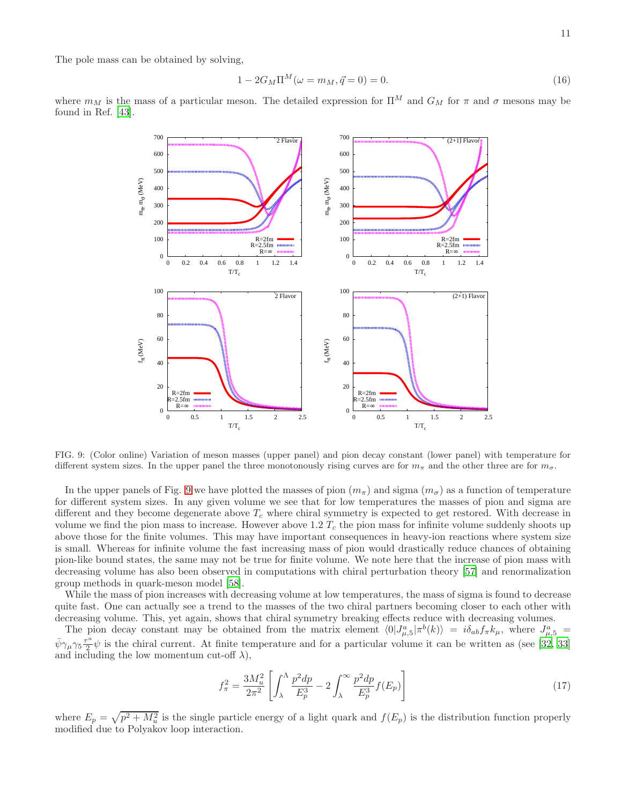The pole mass can be obtained by solving,

$$
1 - 2G_M \Pi^M(\omega = m_M, \vec{q} = 0) = 0.
$$
\n(16)

where  $m_M$  is the mass of a particular meson. The detailed expression for  $\Pi^M$  and  $G_M$  for  $\pi$  and  $\sigma$  mesons may be found in Ref. [\[43](#page-13-10)].



<span id="page-10-0"></span>FIG. 9: (Color online) Variation of meson masses (upper panel) and pion decay constant (lower panel) with temperature for different system sizes. In the upper panel the three monotonously rising curves are for  $m_{\pi}$  and the other three are for  $m_{\sigma}$ .

In the upper panels of Fig. [9](#page-10-0) we have plotted the masses of pion  $(m_\pi)$  and sigma  $(m_\sigma)$  as a function of temperature for different system sizes. In any given volume we see that for low temperatures the masses of pion and sigma are different and they become degenerate above  $T_c$  where chiral symmetry is expected to get restored. With decrease in volume we find the pion mass to increase. However above  $1.2 T_c$  the pion mass for infinite volume suddenly shoots up above those for the finite volumes. This may have important consequences in heavy-ion reactions where system size is small. Whereas for infinite volume the fast increasing mass of pion would drastically reduce chances of obtaining pion-like bound states, the same may not be true for finite volume. We note here that the increase of pion mass with decreasing volume has also been observed in computations with chiral perturbation theory [\[57\]](#page-13-22) and renormalization group methods in quark-meson model [\[58](#page-13-23)].

While the mass of pion increases with decreasing volume at low temperatures, the mass of sigma is found to decrease quite fast. One can actually see a trend to the masses of the two chiral partners becoming closer to each other with decreasing volume. This, yet again, shows that chiral symmetry breaking effects reduce with decreasing volumes.

The pion decay constant may be obtained from the matrix element  $\langle 0|J_{\mu,5}^a|\pi^b(k)\rangle = i\delta_{ab}f_\pi k_\mu$ , where  $J_{\mu,5}^a$  $\bar{\psi}\gamma_\mu\gamma_5\frac{\tau^a}{2}$  $\frac{1}{2}\psi$  is the chiral current. At finite temperature and for a particular volume it can be written as (see [\[32,](#page-13-1) [33](#page-13-24)] and including the low momentum cut-off  $\lambda$ ),

$$
f_{\pi}^2 = \frac{3M_u^2}{2\pi^2} \left[ \int_{\lambda}^{\Lambda} \frac{p^2 dp}{E_p^3} - 2 \int_{\lambda}^{\infty} \frac{p^2 dp}{E_p^3} f(E_p) \right]
$$
 (17)

where  $E_p = \sqrt{p^2 + M_u^2}$  is the single particle energy of a light quark and  $f(E_p)$  is the distribution function properly modified due to Polyakov loop interaction.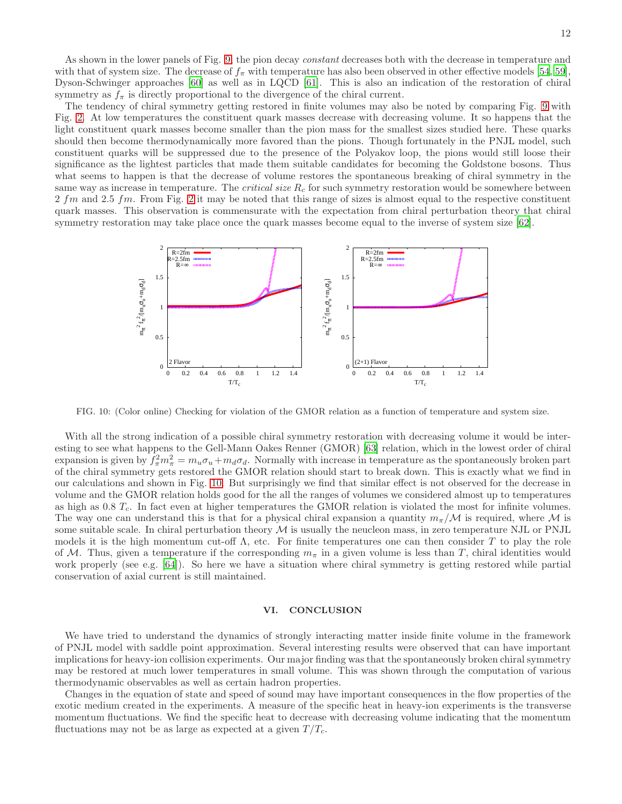As shown in the lower panels of Fig. [9,](#page-10-0) the pion decay *constant* decreases both with the decrease in temperature and with that of system size. The decrease of  $f_{\pi}$  with temperature has also been observed in other effective models [\[54](#page-13-19), [59\]](#page-13-25), Dyson-Schwinger approaches [\[60\]](#page-13-26) as well as in LQCD [\[61\]](#page-13-27). This is also an indication of the restoration of chiral symmetry as  $f_{\pi}$  is directly proportional to the divergence of the chiral current.

The tendency of chiral symmetry getting restored in finite volumes may also be noted by comparing Fig. [9](#page-10-0) with Fig. [2.](#page-5-1) At low temperatures the constituent quark masses decrease with decreasing volume. It so happens that the light constituent quark masses become smaller than the pion mass for the smallest sizes studied here. These quarks should then become thermodynamically more favored than the pions. Though fortunately in the PNJL model, such constituent quarks will be suppressed due to the presence of the Polyakov loop, the pions would still loose their significance as the lightest particles that made them suitable candidates for becoming the Goldstone bosons. Thus what seems to happen is that the decrease of volume restores the spontaneous breaking of chiral symmetry in the same way as increase in temperature. The *critical size*  $R_c$  for such symmetry restoration would be somewhere between  $2 fm$  and  $2.5 fm$ . From Fig.  $2$  it may be noted that this range of sizes is almost equal to the respective constituent quark masses. This observation is commensurate with the expectation from chiral perturbation theory that chiral symmetry restoration may take place once the quark masses become equal to the inverse of system size [\[62\]](#page-13-28).



<span id="page-11-1"></span>FIG. 10: (Color online) Checking for violation of the GMOR relation as a function of temperature and system size.

With all the strong indication of a possible chiral symmetry restoration with decreasing volume it would be interesting to see what happens to the Gell-Mann Oakes Renner (GMOR) [\[63](#page-13-29)] relation, which in the lowest order of chiral expansion is given by  $f_{\pi}^2 m_{\pi}^2 = m_u \sigma_u + m_d \sigma_d$ . Normally with increase in temperature as the spontaneously broken part of the chiral symmetry gets restored the GMOR relation should start to break down. This is exactly what we find in our calculations and shown in Fig. [10.](#page-11-1) But surprisingly we find that similar effect is not observed for the decrease in volume and the GMOR relation holds good for the all the ranges of volumes we considered almost up to temperatures as high as  $0.8 T_c$ . In fact even at higher temperatures the GMOR relation is violated the most for infinite volumes. The way one can understand this is that for a physical chiral expansion a quantity  $m_\pi/M$  is required, where M is some suitable scale. In chiral perturbation theory  $M$  is usually the neucleon mass, in zero temperature NJL or PNJL models it is the high momentum cut-off  $\Lambda$ , etc. For finite temperatures one can then consider T to play the role of M. Thus, given a temperature if the corresponding  $m_{\pi}$  in a given volume is less than T, chiral identities would work properly (see e.g. [\[64\]](#page-13-30)). So here we have a situation where chiral symmetry is getting restored while partial conservation of axial current is still maintained.

## <span id="page-11-0"></span>VI. CONCLUSION

We have tried to understand the dynamics of strongly interacting matter inside finite volume in the framework of PNJL model with saddle point approximation. Several interesting results were observed that can have important implications for heavy-ion collision experiments. Our major finding was that the spontaneously broken chiral symmetry may be restored at much lower temperatures in small volume. This was shown through the computation of various thermodynamic observables as well as certain hadron properties.

Changes in the equation of state and speed of sound may have important consequences in the flow properties of the exotic medium created in the experiments. A measure of the specific heat in heavy-ion experiments is the transverse momentum fluctuations. We find the specific heat to decrease with decreasing volume indicating that the momentum fluctuations may not be as large as expected at a given  $T/T_c$ .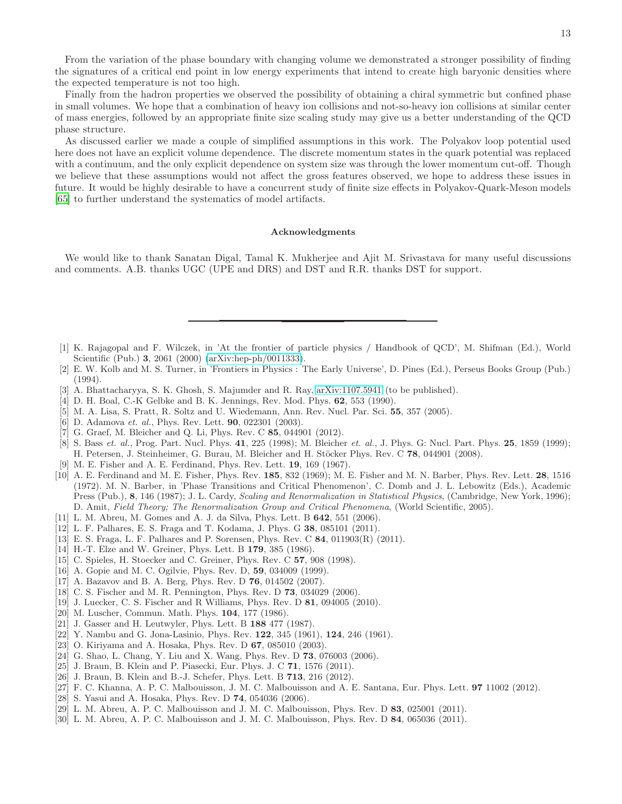From the variation of the phase boundary with changing volume we demonstrated a stronger possibility of finding the signatures of a critical end point in low energy experiments that intend to create high baryonic densities where the expected temperature is not too high.

Finally from the hadron properties we observed the possibility of obtaining a chiral symmetric but confined phase in small volumes. We hope that a combination of heavy ion collisions and not-so-heavy ion collisions at similar center of mass energies, followed by an appropriate finite size scaling study may give us a better understanding of the QCD phase structure.

As discussed earlier we made a couple of simplified assumptions in this work. The Polyakov loop potential used here does not have an explicit volume dependence. The discrete momentum states in the quark potential was replaced with a continuum, and the only explicit dependence on system size was through the lower momentum cut-off. Though we believe that these assumptions would not affect the gross features observed, we hope to address these issues in future. It would be highly desirable to have a concurrent study of finite size effects in Polyakov-Quark-Meson models [\[65\]](#page-13-31) to further understand the systematics of model artifacts.

### Acknowledgments

We would like to thank Sanatan Digal, Tamal K. Mukherjee and Ajit M. Srivastava for many useful discussions and comments. A.B. thanks UGC (UPE and DRS) and DST and R.R. thanks DST for support.

- <span id="page-12-0"></span>[1] K. Rajagopal and F. Wilczek, in 'At the frontier of particle physics / Handbook of QCD', M. Shifman (Ed.), World Scientific (Pub.) 3, 2061 (2000) [\(arXiv:hep-ph/0011333\)](http://arxiv.org/abs/hep-ph/0011333).
- <span id="page-12-1"></span>[2] E. W. Kolb and M. S. Turner, in 'Frontiers in Physics : The Early Universe', D. Pines (Ed.), Perseus Books Group (Pub.) (1994).
- <span id="page-12-2"></span>[3] A. Bhattacharyya, S. K. Ghosh, S. Majumder and R. Ray, [arXiv:1107.5941](http://arxiv.org/abs/1107.5941) (to be published).
- <span id="page-12-3"></span>[4] D. H. Boal, C.-K Gelbke and B. K. Jennings, Rev. Mod. Phys. 62, 553 (1990).
- <span id="page-12-4"></span>[5] M. A. Lisa, S. Pratt, R. Soltz and U. Wiedemann, Ann. Rev. Nucl. Par. Sci. 55, 357 (2005).
- <span id="page-12-5"></span>[6] D. Adamova *et. al.*, Phys. Rev. Lett. **90**, 022301 (2003).
- <span id="page-12-6"></span>[7] G. Graef, M. Bleicher and Q. Li, Phys. Rev. C 85, 044901 (2012).
- <span id="page-12-7"></span>[8] S. Bass et. al., Prog. Part. Nucl. Phys. 41, 225 (1998); M. Bleicher et. al., J. Phys. G: Nucl. Part. Phys. 25, 1859 (1999); H. Petersen, J. Steinheimer, G. Burau, M. Bleicher and H. Stöcker Phys. Rev. C 78, 044901 (2008).
- <span id="page-12-8"></span>[9] M. E. Fisher and A. E. Ferdinand, Phys. Rev. Lett. 19, 169 (1967).
- <span id="page-12-9"></span>[10] A. E. Ferdinand and M. E. Fisher, Phys. Rev. 185, 832 (1969); M. E. Fisher and M. N. Barber, Phys. Rev. Lett. 28, 1516 (1972). M. N. Barber, in 'Phase Transitions and Critical Phenomenon', C. Domb and J. L. Lebowitz (Eds.), Academic Press (Pub.), 8, 146 (1987); J. L. Cardy, Scaling and Renormalization in Statistical Physics, (Cambridge, New York, 1996); D. Amit, Field Theory; The Renormalization Group and Critical Phenomena, (World Scientific, 2005).
- <span id="page-12-10"></span>[11] L. M. Abreu, M. Gomes and A. J. da Silva, Phys. Lett. B 642, 551 (2006).
- <span id="page-12-23"></span>[12] L. F. Palhares, E. S. Fraga and T. Kodama, J. Phys. G 38, 085101 (2011).
- <span id="page-12-11"></span>[13] E. S. Fraga, L. F. Palhares and P. Sorensen, Phys. Rev. C 84, 011903(R) (2011).
- <span id="page-12-12"></span>[14] H.-T. Elze and W. Greiner, Phys. Lett. B 179, 385 (1986).
- <span id="page-12-13"></span>[15] C. Spieles, H. Stoecker and C. Greiner, Phys. Rev. C 57, 908 (1998).
- <span id="page-12-14"></span>[16] A. Gopie and M. C. Ogilvie, Phys. Rev. D, 59, 034009 (1999).
- <span id="page-12-15"></span>[17] A. Bazavov and B. A. Berg, Phys. Rev. D 76, 014502 (2007).
- <span id="page-12-16"></span>[18] C. S. Fischer and M. R. Pennington, Phys. Rev. D 73, 034029 (2006).
- <span id="page-12-17"></span>[19] J. Luecker, C. S. Fischer and R Williams, Phys. Rev. D **81**, 094005 (2010).
- <span id="page-12-18"></span>[20] M. Luscher, Commun. Math. Phys. **104**, 177 (1986).
- <span id="page-12-19"></span>[21] J. Gasser and H. Leutwyler, Phys. Lett. B 188 477 (1987).
- <span id="page-12-20"></span>[22] Y. Nambu and G. Jona-Lasinio, Phys. Rev. 122, 345 (1961), 124, 246 (1961).
- <span id="page-12-21"></span>[23] O. Kiriyama and A. Hosaka, Phys. Rev. D **67**, 085010 (2003).
- <span id="page-12-22"></span>[24] G. Shao, L. Chang, Y. Liu and X. Wang, Phys. Rev. D 73, 076003 (2006).
- <span id="page-12-24"></span>[25] J. Braun, B. Klein and P. Piasecki, Eur. Phys. J. C 71, 1576 (2011).
- <span id="page-12-25"></span>[26] J. Braun, B. Klein and B.-J. Schefer, Phys. Lett. B 713, 216 (2012).
- <span id="page-12-26"></span>[27] F. C. Khanna, A. P. C. Malbouisson, J. M. C. Malbouisson and A. E. Santana, Eur. Phys. Lett. **97** 11002 (2012).
- <span id="page-12-27"></span>[28] S. Yasui and A. Hosaka, Phys. Rev. D 74, 054036 (2006).
- <span id="page-12-28"></span>[29] L. M. Abreu, A. P. C. Malbouisson and J. M. C. Malbouisson, Phys. Rev. D 83, 025001 (2011).
- <span id="page-12-29"></span>[30] L. M. Abreu, A. P. C. Malbouisson and J. M. C. Malbouisson, Phys. Rev. D 84, 065036 (2011).